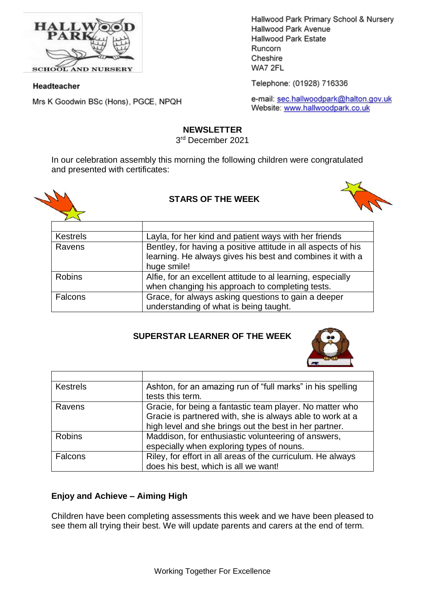

**SCHOOL AND NURSERY** 

#### Headteacher

Mrs K Goodwin BSc (Hons), PGCE, NPQH

Hallwood Park Primary School & Nursery Hallwood Park Avenue Hallwood Park Estate Runcorn Cheshire WA7 2FL

Telephone: (01928) 716336

e-mail: sec.hallwoodpark@halton.gov.uk Website: www.hallwoodpark.co.uk

#### **NEWSLETTER**

3 rd December 2021

In our celebration assembly this morning the following children were congratulated and presented with certificates:





## **STARS OF THE WEEK**

| <b>Kestrels</b> | Layla, for her kind and patient ways with her friends         |
|-----------------|---------------------------------------------------------------|
| Ravens          | Bentley, for having a positive attitude in all aspects of his |
|                 | learning. He always gives his best and combines it with a     |
|                 | huge smile!                                                   |
| <b>Robins</b>   | Alfie, for an excellent attitude to al learning, especially   |
|                 | when changing his approach to completing tests.               |
| Falcons         | Grace, for always asking questions to gain a deeper           |
|                 | understanding of what is being taught.                        |

#### **SUPERSTAR LEARNER OF THE WEEK**



| <b>Kestrels</b> | Ashton, for an amazing run of "full marks" in his spelling<br>tests this term.                                                                                                  |
|-----------------|---------------------------------------------------------------------------------------------------------------------------------------------------------------------------------|
| Ravens          | Gracie, for being a fantastic team player. No matter who<br>Gracie is partnered with, she is always able to work at a<br>high level and she brings out the best in her partner. |
| <b>Robins</b>   | Maddison, for enthusiastic volunteering of answers,<br>especially when exploring types of nouns.                                                                                |
| Falcons         | Riley, for effort in all areas of the curriculum. He always<br>does his best, which is all we want!                                                                             |

## **Enjoy and Achieve – Aiming High**

Children have been completing assessments this week and we have been pleased to see them all trying their best. We will update parents and carers at the end of term.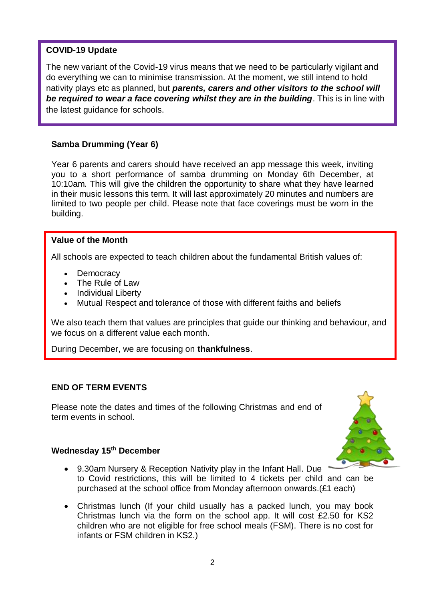# **COVID-19 Update**

The new variant of the Covid-19 virus means that we need to be particularly vigilant and do everything we can to minimise transmission. At the moment, we still intend to hold nativity plays etc as planned, but *parents, carers and other visitors to the school will be required to wear a face covering whilst they are in the building*. This is in line with the latest guidance for schools.

## **Samba Drumming (Year 6)**

Year 6 parents and carers should have received an app message this week, inviting you to a short performance of samba drumming on Monday 6th December, at 10:10am. This will give the children the opportunity to share what they have learned in their music lessons this term. It will last approximately 20 minutes and numbers are limited to two people per child. Please note that face coverings must be worn in the building.

#### **Value of the Month**

All schools are expected to teach children about the fundamental British values of:

- **Democracy**
- The Rule of Law
- Individual Liberty
- Mutual Respect and tolerance of those with different faiths and beliefs

We also teach them that values are principles that guide our thinking and behaviour, and we focus on a different value each month.

During December, we are focusing on **thankfulness**.

#### **END OF TERM EVENTS**

Please note the dates and times of the following Christmas and end of term events in school.



#### **Wednesday 15th December**

- 9.30am Nursery & Reception Nativity play in the Infant Hall. Due to Covid restrictions, this will be limited to 4 tickets per child and can be purchased at the school office from Monday afternoon onwards.(£1 each)
- Christmas lunch (If your child usually has a packed lunch, you may book Christmas lunch via the form on the school app. It will cost £2.50 for KS2 children who are not eligible for free school meals (FSM). There is no cost for infants or FSM children in KS2.)